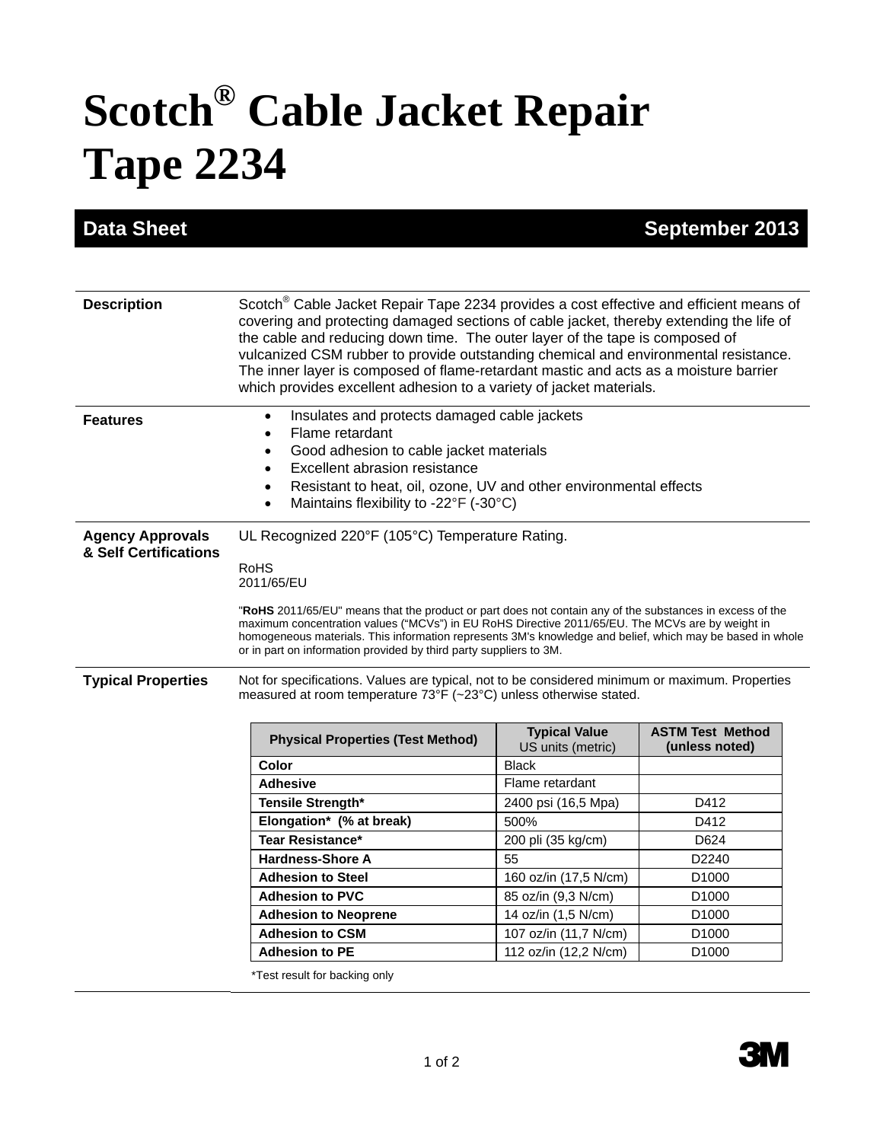## **Scotch® Cable Jacket Repair Tape 2234**

**Data Sheet September 2013** 

| <b>Description</b>                               | Scotch <sup>®</sup> Cable Jacket Repair Tape 2234 provides a cost effective and efficient means of<br>covering and protecting damaged sections of cable jacket, thereby extending the life of<br>the cable and reducing down time. The outer layer of the tape is composed of<br>vulcanized CSM rubber to provide outstanding chemical and environmental resistance.<br>The inner layer is composed of flame-retardant mastic and acts as a moisture barrier<br>which provides excellent adhesion to a variety of jacket materials. |                                           |                                           |  |
|--------------------------------------------------|-------------------------------------------------------------------------------------------------------------------------------------------------------------------------------------------------------------------------------------------------------------------------------------------------------------------------------------------------------------------------------------------------------------------------------------------------------------------------------------------------------------------------------------|-------------------------------------------|-------------------------------------------|--|
| <b>Features</b>                                  | Insulates and protects damaged cable jackets<br>Flame retardant<br>$\bullet$<br>Good adhesion to cable jacket materials<br>$\bullet$<br>Excellent abrasion resistance<br>$\bullet$<br>Resistant to heat, oil, ozone, UV and other environmental effects<br>$\bullet$<br>Maintains flexibility to -22°F (-30°C)<br>$\bullet$                                                                                                                                                                                                         |                                           |                                           |  |
| <b>Agency Approvals</b><br>& Self Certifications | UL Recognized 220°F (105°C) Temperature Rating.<br><b>RoHS</b><br>2011/65/EU<br>"RoHS 2011/65/EU" means that the product or part does not contain any of the substances in excess of the<br>maximum concentration values ("MCVs") in EU RoHS Directive 2011/65/EU. The MCVs are by weight in                                                                                                                                                                                                                                        |                                           |                                           |  |
|                                                  | homogeneous materials. This information represents 3M's knowledge and belief, which may be based in whole<br>or in part on information provided by third party suppliers to 3M.                                                                                                                                                                                                                                                                                                                                                     |                                           |                                           |  |
| <b>Typical Properties</b>                        | Not for specifications. Values are typical, not to be considered minimum or maximum. Properties<br>measured at room temperature 73°F (~23°C) unless otherwise stated.                                                                                                                                                                                                                                                                                                                                                               |                                           |                                           |  |
|                                                  | <b>Physical Properties (Test Method)</b>                                                                                                                                                                                                                                                                                                                                                                                                                                                                                            | <b>Typical Value</b><br>US units (metric) | <b>ASTM Test Method</b><br>(unless noted) |  |
|                                                  | Color                                                                                                                                                                                                                                                                                                                                                                                                                                                                                                                               | <b>Black</b>                              |                                           |  |
|                                                  | <b>Adhesive</b>                                                                                                                                                                                                                                                                                                                                                                                                                                                                                                                     | Flame retardant                           |                                           |  |
|                                                  | Tensile Strength*                                                                                                                                                                                                                                                                                                                                                                                                                                                                                                                   | 2400 psi (16,5 Mpa)                       | D412                                      |  |
|                                                  | Elongation* (% at break)                                                                                                                                                                                                                                                                                                                                                                                                                                                                                                            | 500%                                      | D412                                      |  |
|                                                  | <b>Tear Resistance*</b>                                                                                                                                                                                                                                                                                                                                                                                                                                                                                                             | 200 pli (35 kg/cm)                        | D624                                      |  |
|                                                  | <b>Hardness-Shore A</b>                                                                                                                                                                                                                                                                                                                                                                                                                                                                                                             | 55                                        | D2240                                     |  |
|                                                  | <b>Adhesion to Steel</b>                                                                                                                                                                                                                                                                                                                                                                                                                                                                                                            | 160 oz/in (17,5 N/cm)                     | D1000                                     |  |
|                                                  | <b>Adhesion to PVC</b>                                                                                                                                                                                                                                                                                                                                                                                                                                                                                                              | 85 oz/in (9,3 N/cm)                       | D <sub>1000</sub>                         |  |
|                                                  | <b>Adhesion to Neoprene</b>                                                                                                                                                                                                                                                                                                                                                                                                                                                                                                         | 14 oz/in (1,5 N/cm)                       | D <sub>1000</sub>                         |  |
|                                                  | <b>Adhesion to CSM</b>                                                                                                                                                                                                                                                                                                                                                                                                                                                                                                              | 107 oz/in (11,7 N/cm)                     | D1000                                     |  |
|                                                  | <b>Adhesion to PE</b>                                                                                                                                                                                                                                                                                                                                                                                                                                                                                                               | 112 oz/in (12,2 N/cm)                     | D <sub>1000</sub>                         |  |
|                                                  | *Test result for backing only                                                                                                                                                                                                                                                                                                                                                                                                                                                                                                       |                                           |                                           |  |